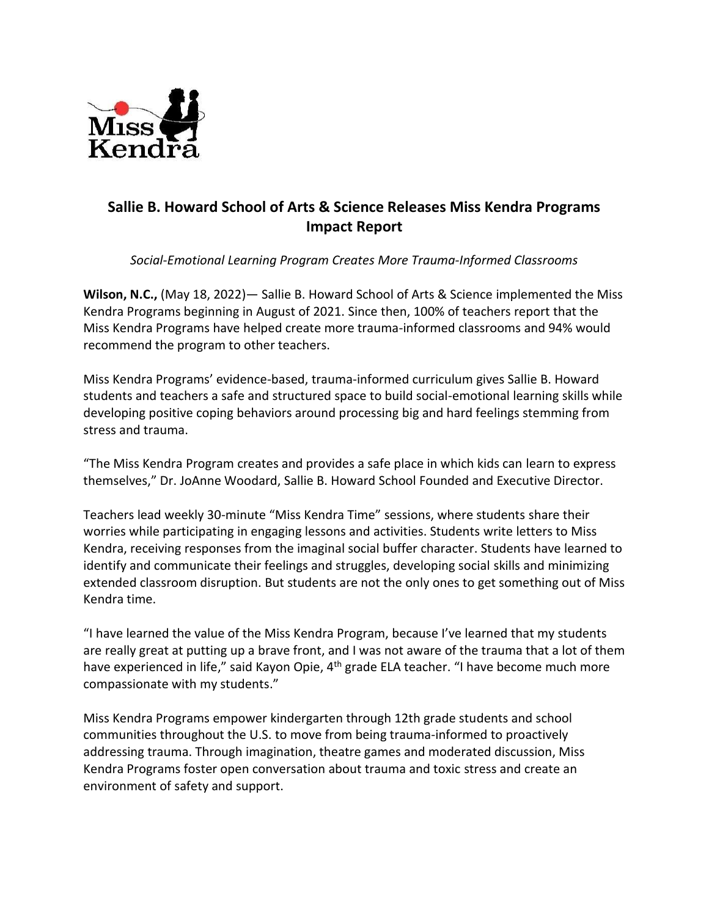

## **Sallie B. Howard School of Arts & Science Releases Miss Kendra Programs Impact Report**

*Social-Emotional Learning Program Creates More Trauma-Informed Classrooms*

**Wilson, N.C.,** (May 18, 2022)— Sallie B. Howard School of Arts & Science implemented the Miss Kendra Programs beginning in August of 2021. Since then, 100% of teachers report that the Miss Kendra Programs have helped create more trauma-informed classrooms and 94% would recommend the program to other teachers.

Miss Kendra Programs' evidence-based, trauma-informed curriculum gives Sallie B. Howard students and teachers a safe and structured space to build social-emotional learning skills while developing positive coping behaviors around processing big and hard feelings stemming from stress and trauma.

"The Miss Kendra Program creates and provides a safe place in which kids can learn to express themselves," Dr. JoAnne Woodard, Sallie B. Howard School Founded and Executive Director.

Teachers lead weekly 30-minute "Miss Kendra Time" sessions, where students share their worries while participating in engaging lessons and activities. Students write letters to Miss Kendra, receiving responses from the imaginal social buffer character. Students have learned to identify and communicate their feelings and struggles, developing social skills and minimizing extended classroom disruption. But students are not the only ones to get something out of Miss Kendra time.

"I have learned the value of the Miss Kendra Program, because I've learned that my students are really great at putting up a brave front, and I was not aware of the trauma that a lot of them have experienced in life," said Kayon Opie, 4<sup>th</sup> grade ELA teacher. "I have become much more compassionate with my students."

Miss Kendra Programs empower kindergarten through 12th grade students and school communities throughout the U.S. to move from being trauma-informed to proactively addressing trauma. Through imagination, theatre games and moderated discussion, Miss Kendra Programs foster open conversation about trauma and toxic stress and create an environment of safety and support.